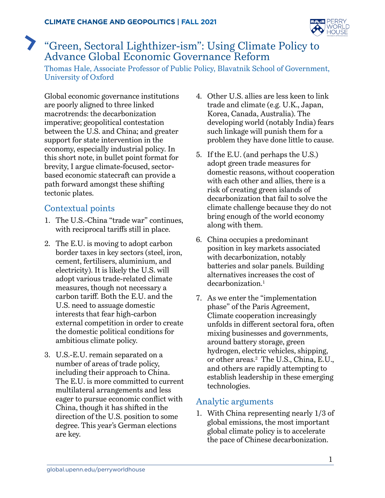

# <span id="page-0-0"></span>"Green, Sectoral Lighthizer-ism": Using Climate Policy to Advance Global Economic Governance Reform

Thomas Hale, Associate Professor of Public Policy, Blavatnik School of Government, University of Oxford

Global economic governance institutions are poorly aligned to three linked macrotrends: the decarbonization imperative; geopolitical contestation between the U.S. and China; and greater support for state intervention in the economy, especially industrial policy. In this short note, in bullet point format for brevity, I argue climate-focused, sectorbased economic statecraft can provide a path forward amongst these shifting tectonic plates.

### Contextual points

- 1. The U.S.-China "trade war" continues, with reciprocal tariffs still in place.
- 2. The E.U. is moving to adopt carbon border taxes in key sectors (steel, iron, cement, fertilisers, aluminium, and electricity). It is likely the U.S. will adopt various trade-related climate measures, though not necessary a carbon tariff. Both the E.U. and the U.S. need to assuage domestic interests that fear high-carbon external competition in order to create the domestic political conditions for ambitious climate policy.
- 3. U.S.-E.U. remain separated on a number of areas of trade policy, including their approach to China. The E.U. is more committed to current multilateral arrangements and less eager to pursue economic conflict with China, though it has shifted in the direction of the U.S. position to some degree. This year's German elections are key.
- 4. Other U.S. allies are less keen to link trade and climate (e.g. U.K., Japan, Korea, Canada, Australia). The developing world (notably India) fears such linkage will punish them for a problem they have done little to cause.
- 5. If the E.U. (and perhaps the U.S.) adopt green trade measures for domestic reasons, without cooperation with each other and allies, there is a risk of creating green islands of decarbonization that fail to solve the climate challenge because they do not bring enough of the world economy along with them.
- 6. China occupies a predominant position in key markets associated with decarbonization, notably batteries and solar panels. Building alternatives increases the cost of decarbonization.<sup>[1](#page-3-0)</sup>
- 7. As we enter the "implementation phase" of the Paris Agreement, Climate cooperation increasingly unfolds in different sectoral fora, often mixing businesses and governments, around battery storage, green hydrogen, electric vehicles, shipping, or other areas[.2](#page-3-0) The U.S., China, E.U., and others are rapidly attempting to establish leadership in these emerging technologies.

### Analytic arguments

1. With China representing nearly 1/3 of global emissions, the most important global climate policy is to accelerate the pace of Chinese decarbonization.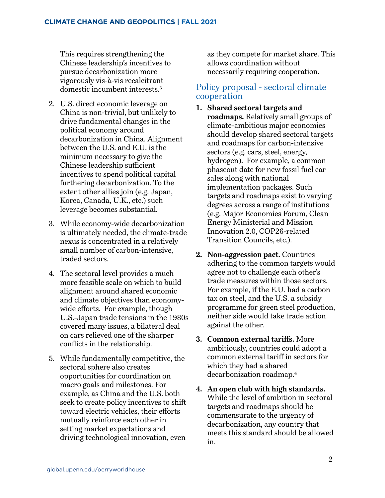<span id="page-1-0"></span>This requires strengthening the Chinese leadership's incentives to pursue decarbonization more vigorously vis-à-vis recalcitrant domestic incumbent interests.[3](#page-3-0)

- 2. U.S. direct economic leverage on China is non-trivial, but unlikely to drive fundamental changes in the political economy around decarbonization in China. Alignment between the U.S. and E.U. is the minimum necessary to give the Chinese leadership sufficient incentives to spend political capital furthering decarbonization. To the extent other allies join (e.g. Japan, Korea, Canada, U.K., etc.) such leverage becomes substantial.
- 3. While economy-wide decarbonization is ultimately needed, the climate-trade nexus is concentrated in a relatively small number of carbon-intensive, traded sectors.
- 4. The sectoral level provides a much more feasible scale on which to build alignment around shared economic and climate objectives than economywide efforts. For example, though U.S.-Japan trade tensions in the 1980s covered many issues, a bilateral deal on cars relieved one of the sharper conflicts in the relationship.
- 5. While fundamentally competitive, the sectoral sphere also creates opportunities for coordination on macro goals and milestones. For example, as China and the U.S. both seek to create policy incentives to shift toward electric vehicles, their efforts mutually reinforce each other in setting market expectations and driving technological innovation, even

as they compete for market share. This allows coordination without necessarily requiring cooperation.

#### Policy proposal - sectoral climate cooperation

- **1. Shared sectoral targets and roadmaps.** Relatively small groups of climate-ambitious major economies should develop shared sectoral targets and roadmaps for carbon-intensive sectors (e.g. cars, steel, energy, hydrogen). For example, a common phaseout date for new fossil fuel car sales along with national implementation packages. Such targets and roadmaps exist to varying degrees across a range of institutions (e.g. Major Economies Forum, Clean Energy Ministerial and Mission Innovation 2.0, COP26-related Transition Councils, etc.).
- **2. Non-aggression pact.** Countries adhering to the common targets would agree not to challenge each other's trade measures within those sectors. For example, if the E.U. had a carbon tax on steel, and the U.S. a subsidy programme for green steel production, neither side would take trade action against the other.
- **3. Common external tariffs.** More ambitiously, countries could adopt a common external tariff in sectors for which they had a shared decarbonization roadmap[.4](#page-3-0)
- **4. An open club with high standards.**  While the level of ambition in sectoral targets and roadmaps should be commensurate to the urgency of decarbonization, any country that meets this standard should be allowed in.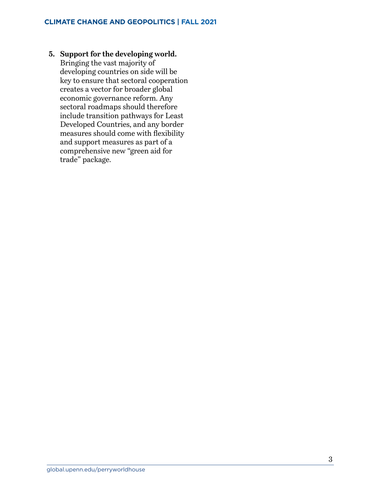**5. Support for the developing world.**  Bringing the vast majority of developing countries on side will be key to ensure that sectoral cooperation creates a vector for broader global economic governance reform. Any sectoral roadmaps should therefore include transition pathways for Least Developed Countries, and any border measures should come with flexibility and support measures as part of a comprehensive new "green aid for trade" package.